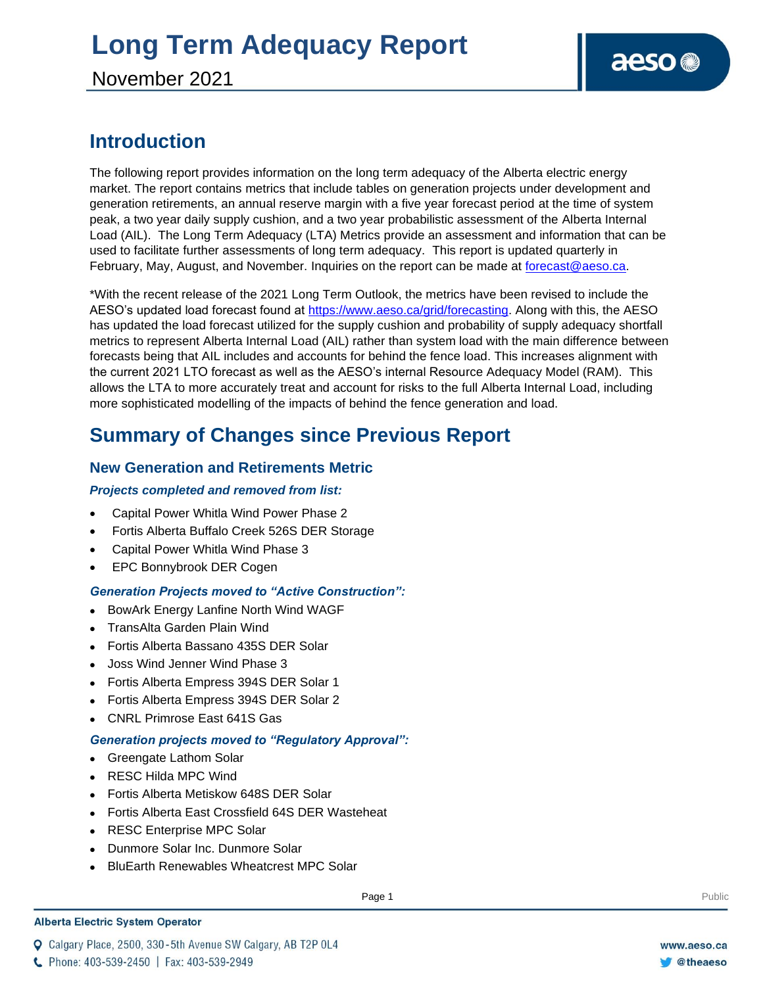November 2021

## **Introduction**

The following report provides information on the long term adequacy of the Alberta electric energy market. The report contains metrics that include tables on generation projects under development and generation retirements, an annual reserve margin with a five year forecast period at the time of system peak, a two year daily supply cushion, and a two year probabilistic assessment of the Alberta Internal Load (AIL). The Long Term Adequacy (LTA) Metrics provide an assessment and information that can be used to facilitate further assessments of long term adequacy. This report is updated quarterly in February, May, August, and November. Inquiries on the report can be made at [forecast@aeso.ca.](mailto:forecast@aeso.ca)

\*With the recent release of the 2021 Long Term Outlook, the metrics have been revised to include the AESO's updated load forecast found at [https://www.aeso.ca/grid/forecasting.](https://www.aeso.ca/grid/forecasting) Along with this, the AESO has updated the load forecast utilized for the supply cushion and probability of supply adequacy shortfall metrics to represent Alberta Internal Load (AIL) rather than system load with the main difference between forecasts being that AIL includes and accounts for behind the fence load. This increases alignment with the current 2021 LTO forecast as well as the AESO's internal Resource Adequacy Model (RAM). This allows the LTA to more accurately treat and account for risks to the full Alberta Internal Load, including more sophisticated modelling of the impacts of behind the fence generation and load.

## **Summary of Changes since Previous Report**

### **New Generation and Retirements Metric**

#### *Projects completed and removed from list:*

- Capital Power Whitla Wind Power Phase 2
- Fortis Alberta Buffalo Creek 526S DER Storage
- Capital Power Whitla Wind Phase 3
- EPC Bonnybrook DER Cogen

### *Generation Projects moved to "Active Construction":*

- ⚫ BowArk Energy Lanfine North Wind WAGF
- ⚫ TransAlta Garden Plain Wind
- ⚫ Fortis Alberta Bassano 435S DER Solar
- ⚫ Joss Wind Jenner Wind Phase 3
- ⚫ Fortis Alberta Empress 394S DER Solar 1
- ⚫ Fortis Alberta Empress 394S DER Solar 2
- ⚫ CNRL Primrose East 641S Gas

#### *Generation projects moved to "Regulatory Approval":*

- ⚫ Greengate Lathom Solar
- ⚫ RESC Hilda MPC Wind
- ⚫ Fortis Alberta Metiskow 648S DER Solar
- ⚫ Fortis Alberta East Crossfield 64S DER Wasteheat
- ⚫ RESC Enterprise MPC Solar
- ⚫ Dunmore Solar Inc. Dunmore Solar
- ⚫ BluEarth Renewables Wheatcrest MPC Solar

#### **Alberta Electric System Operator**

Q Calgary Place, 2500, 330-5th Avenue SW Calgary, AB T2P 0L4

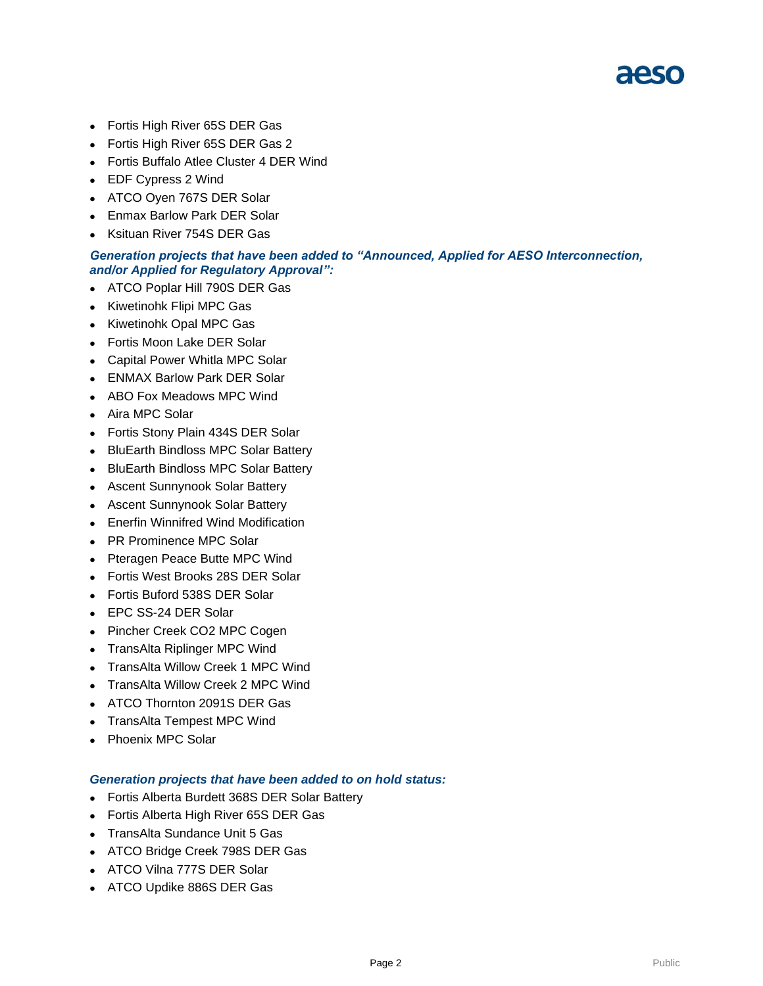- ⚫ Fortis High River 65S DER Gas
- ⚫ Fortis High River 65S DER Gas 2
- Fortis Buffalo Atlee Cluster 4 DER Wind
- ⚫ EDF Cypress 2 Wind
- ⚫ ATCO Oyen 767S DER Solar
- ⚫ Enmax Barlow Park DER Solar
- ⚫ Ksituan River 754S DER Gas

#### *Generation projects that have been added to "Announced, Applied for AESO Interconnection, and/or Applied for Regulatory Approval":*

- ⚫ ATCO Poplar Hill 790S DER Gas
- ⚫ Kiwetinohk Flipi MPC Gas
- ⚫ Kiwetinohk Opal MPC Gas
- ⚫ Fortis Moon Lake DER Solar
- ⚫ Capital Power Whitla MPC Solar
- ⚫ ENMAX Barlow Park DER Solar
- ⚫ ABO Fox Meadows MPC Wind
- ⚫ Aira MPC Solar
- ⚫ Fortis Stony Plain 434S DER Solar
- ⚫ BluEarth Bindloss MPC Solar Battery
- ⚫ BluEarth Bindloss MPC Solar Battery
- ⚫ Ascent Sunnynook Solar Battery
- ⚫ Ascent Sunnynook Solar Battery
- Enerfin Winnifred Wind Modification
- ⚫ PR Prominence MPC Solar
- Pteragen Peace Butte MPC Wind
- ⚫ Fortis West Brooks 28S DER Solar
- ⚫ Fortis Buford 538S DER Solar
- ⚫ EPC SS-24 DER Solar
- ⚫ Pincher Creek CO2 MPC Cogen
- ⚫ TransAlta Riplinger MPC Wind
- ⚫ TransAlta Willow Creek 1 MPC Wind
- ⚫ TransAlta Willow Creek 2 MPC Wind
- ⚫ ATCO Thornton 2091S DER Gas
- ⚫ TransAlta Tempest MPC Wind
- ⚫ Phoenix MPC Solar

#### *Generation projects that have been added to on hold status:*

- ⚫ Fortis Alberta Burdett 368S DER Solar Battery
- ⚫ Fortis Alberta High River 65S DER Gas
- ⚫ TransAlta Sundance Unit 5 Gas
- ⚫ ATCO Bridge Creek 798S DER Gas
- ⚫ ATCO Vilna 777S DER Solar
- ⚫ ATCO Updike 886S DER Gas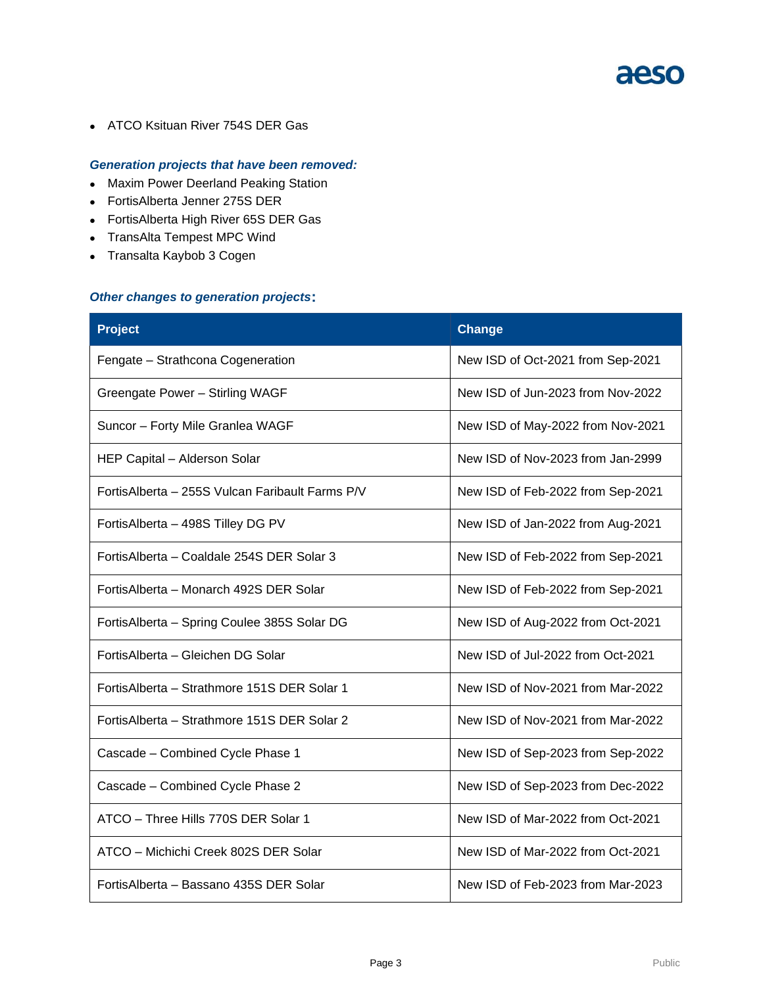⚫ ATCO Ksituan River 754S DER Gas

#### *Generation projects that have been removed:*

- ⚫ Maxim Power Deerland Peaking Station
- ⚫ FortisAlberta Jenner 275S DER
- ⚫ FortisAlberta High River 65S DER Gas
- ⚫ TransAlta Tempest MPC Wind
- ⚫ Transalta Kaybob 3 Cogen

#### *Other changes to generation projects***:**

| <b>Project</b>                                  | <b>Change</b>                     |
|-------------------------------------------------|-----------------------------------|
| Fengate - Strathcona Cogeneration               | New ISD of Oct-2021 from Sep-2021 |
| Greengate Power - Stirling WAGF                 | New ISD of Jun-2023 from Nov-2022 |
| Suncor - Forty Mile Granlea WAGF                | New ISD of May-2022 from Nov-2021 |
| HEP Capital - Alderson Solar                    | New ISD of Nov-2023 from Jan-2999 |
| FortisAlberta - 255S Vulcan Faribault Farms P/V | New ISD of Feb-2022 from Sep-2021 |
| FortisAlberta - 498S Tilley DG PV               | New ISD of Jan-2022 from Aug-2021 |
| Fortis Alberta - Coaldale 254S DER Solar 3      | New ISD of Feb-2022 from Sep-2021 |
| FortisAlberta – Monarch 492S DER Solar          | New ISD of Feb-2022 from Sep-2021 |
| FortisAlberta - Spring Coulee 385S Solar DG     | New ISD of Aug-2022 from Oct-2021 |
| FortisAlberta - Gleichen DG Solar               | New ISD of Jul-2022 from Oct-2021 |
| Fortis Alberta - Strathmore 151S DER Solar 1    | New ISD of Nov-2021 from Mar-2022 |
| Fortis Alberta - Strathmore 151S DER Solar 2    | New ISD of Nov-2021 from Mar-2022 |
| Cascade - Combined Cycle Phase 1                | New ISD of Sep-2023 from Sep-2022 |
| Cascade - Combined Cycle Phase 2                | New ISD of Sep-2023 from Dec-2022 |
| ATCO - Three Hills 770S DER Solar 1             | New ISD of Mar-2022 from Oct-2021 |
| ATCO - Michichi Creek 802S DER Solar            | New ISD of Mar-2022 from Oct-2021 |
| FortisAlberta - Bassano 435S DER Solar          | New ISD of Feb-2023 from Mar-2023 |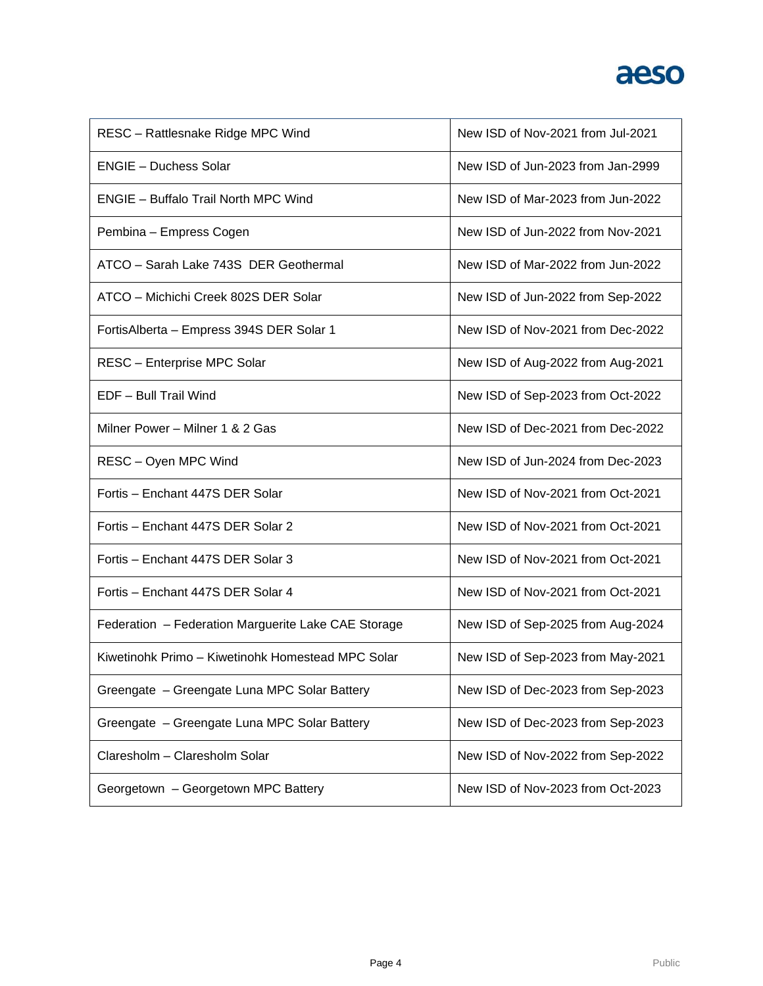| RESC - Rattlesnake Ridge MPC Wind                   | New ISD of Nov-2021 from Jul-2021 |
|-----------------------------------------------------|-----------------------------------|
| <b>ENGIE</b> - Duchess Solar                        | New ISD of Jun-2023 from Jan-2999 |
| <b>ENGIE - Buffalo Trail North MPC Wind</b>         | New ISD of Mar-2023 from Jun-2022 |
| Pembina - Empress Cogen                             | New ISD of Jun-2022 from Nov-2021 |
| ATCO - Sarah Lake 743S DER Geothermal               | New ISD of Mar-2022 from Jun-2022 |
| ATCO - Michichi Creek 802S DER Solar                | New ISD of Jun-2022 from Sep-2022 |
| FortisAlberta - Empress 394S DER Solar 1            | New ISD of Nov-2021 from Dec-2022 |
| RESC - Enterprise MPC Solar                         | New ISD of Aug-2022 from Aug-2021 |
| EDF - Bull Trail Wind                               | New ISD of Sep-2023 from Oct-2022 |
| Milner Power - Milner 1 & 2 Gas                     | New ISD of Dec-2021 from Dec-2022 |
| RESC - Oyen MPC Wind                                | New ISD of Jun-2024 from Dec-2023 |
| Fortis - Enchant 447S DER Solar                     | New ISD of Nov-2021 from Oct-2021 |
| Fortis - Enchant 447S DER Solar 2                   | New ISD of Nov-2021 from Oct-2021 |
| Fortis - Enchant 447S DER Solar 3                   | New ISD of Nov-2021 from Oct-2021 |
| Fortis - Enchant 447S DER Solar 4                   | New ISD of Nov-2021 from Oct-2021 |
| Federation - Federation Marguerite Lake CAE Storage | New ISD of Sep-2025 from Aug-2024 |
| Kiwetinohk Primo - Kiwetinohk Homestead MPC Solar   | New ISD of Sep-2023 from May-2021 |
| Greengate - Greengate Luna MPC Solar Battery        | New ISD of Dec-2023 from Sep-2023 |
| Greengate - Greengate Luna MPC Solar Battery        | New ISD of Dec-2023 from Sep-2023 |
| Claresholm - Claresholm Solar                       | New ISD of Nov-2022 from Sep-2022 |
| Georgetown - Georgetown MPC Battery                 | New ISD of Nov-2023 from Oct-2023 |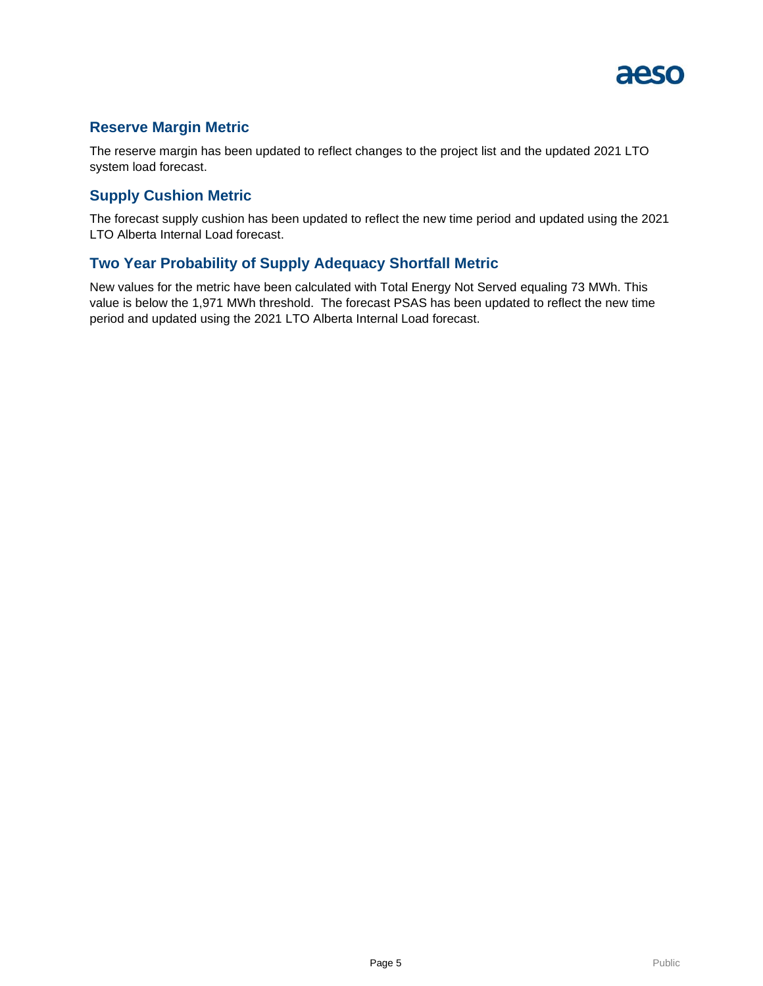

### **Reserve Margin Metric**

The reserve margin has been updated to reflect changes to the project list and the updated 2021 LTO system load forecast.

### **Supply Cushion Metric**

The forecast supply cushion has been updated to reflect the new time period and updated using the 2021 LTO Alberta Internal Load forecast.

### **Two Year Probability of Supply Adequacy Shortfall Metric**

New values for the metric have been calculated with Total Energy Not Served equaling 73 MWh. This value is below the 1,971 MWh threshold. The forecast PSAS has been updated to reflect the new time period and updated using the 2021 LTO Alberta Internal Load forecast.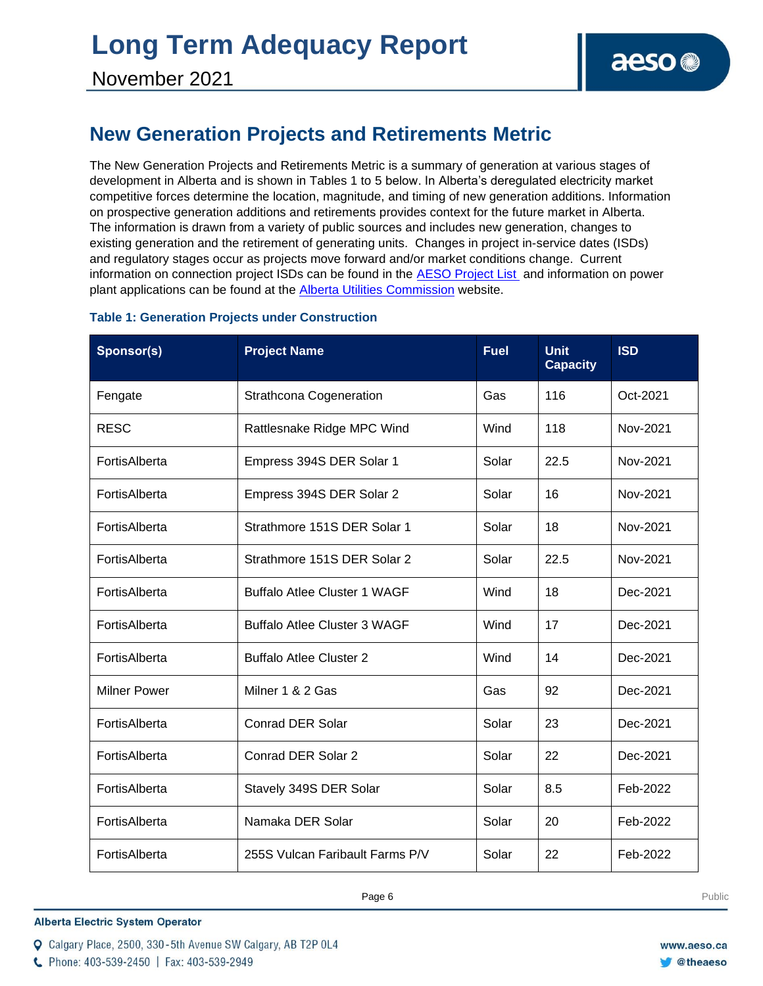## **New Generation Projects and Retirements Metric**

The New Generation Projects and Retirements Metric is a summary of generation at various stages of development in Alberta and is shown in Tables 1 to 5 below. In Alberta's deregulated electricity market competitive forces determine the location, magnitude, and timing of new generation additions. Information on prospective generation additions and retirements provides context for the future market in Alberta. The information is drawn from a variety of public sources and includes new generation, changes to existing generation and the retirement of generating units. Changes in project in-service dates (ISDs) and regulatory stages occur as projects move forward and/or market conditions change. Current information on connection project ISDs can be found in the [AESO Project List](https://www.aeso.ca/grid/connecting-to-the-grid/) and information on power plant applications can be found at the [Alberta Utilities Commission](http://www.auc.ab.ca/) website.

#### **Table 1: Generation Projects under Construction**

| Sponsor(s)          | <b>Project Name</b>                 | <b>Fuel</b> | <b>Unit</b><br><b>Capacity</b> | <b>ISD</b> |
|---------------------|-------------------------------------|-------------|--------------------------------|------------|
| Fengate             | <b>Strathcona Cogeneration</b>      | Gas         | 116                            | Oct-2021   |
| <b>RESC</b>         | Rattlesnake Ridge MPC Wind          | Wind        | 118                            | Nov-2021   |
| FortisAlberta       | Empress 394S DER Solar 1            | Solar       | 22.5                           | Nov-2021   |
| FortisAlberta       | Empress 394S DER Solar 2            | Solar       | 16                             | Nov-2021   |
| FortisAlberta       | Strathmore 151S DER Solar 1         | Solar       | 18                             | Nov-2021   |
| FortisAlberta       | Strathmore 151S DER Solar 2         | Solar       | 22.5                           | Nov-2021   |
| FortisAlberta       | <b>Buffalo Atlee Cluster 1 WAGF</b> | Wind        | 18                             | Dec-2021   |
| FortisAlberta       | <b>Buffalo Atlee Cluster 3 WAGF</b> | Wind        | 17                             | Dec-2021   |
| FortisAlberta       | <b>Buffalo Atlee Cluster 2</b>      | Wind        | 14                             | Dec-2021   |
| <b>Milner Power</b> | Milner 1 & 2 Gas                    | Gas         | 92                             | Dec-2021   |
| FortisAlberta       | <b>Conrad DER Solar</b>             | Solar       | 23                             | Dec-2021   |
| FortisAlberta       | Conrad DER Solar 2                  | Solar       | 22                             | Dec-2021   |
| FortisAlberta       | Stavely 349S DER Solar              | Solar       | 8.5                            | Feb-2022   |
| FortisAlberta       | Namaka DER Solar                    | Solar       | 20                             | Feb-2022   |
| FortisAlberta       | 255S Vulcan Faribault Farms P/V     | Solar       | 22                             | Feb-2022   |

**Alberta Electric System Operator** 

C Phone: 403-539-2450 | Fax: 403-539-2949

Q Calgary Place, 2500, 330-5th Avenue SW Calgary, AB T2P 0L4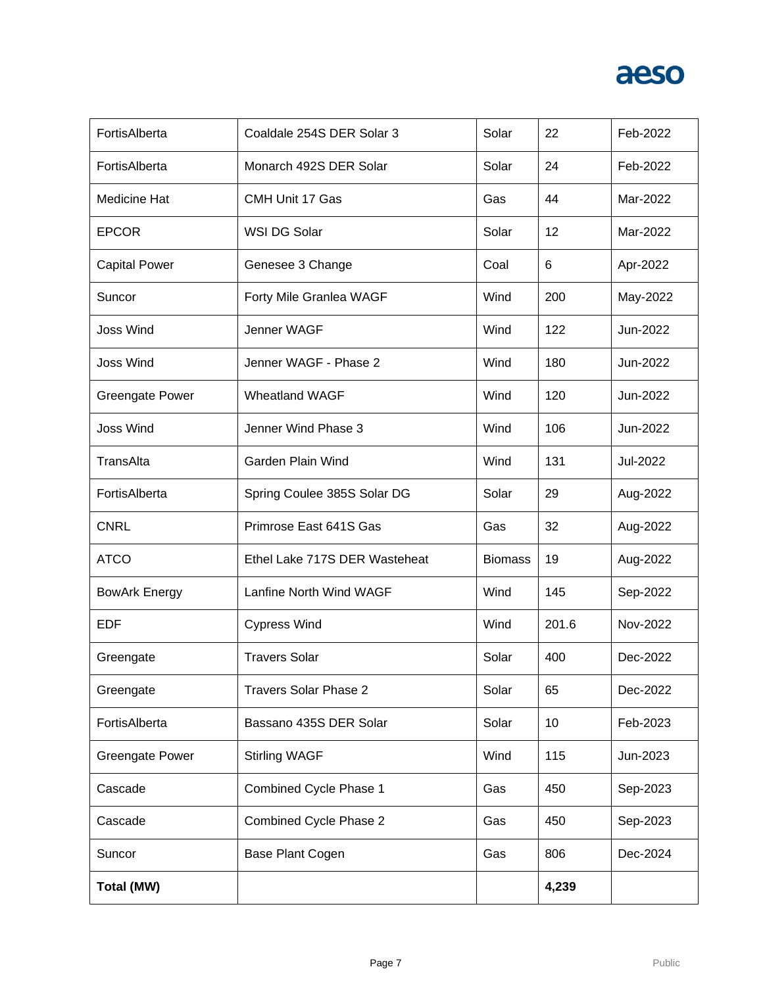| FortisAlberta          | Coaldale 254S DER Solar 3     | Solar          | 22    | Feb-2022 |
|------------------------|-------------------------------|----------------|-------|----------|
| FortisAlberta          | Monarch 492S DER Solar        | Solar          | 24    | Feb-2022 |
| Medicine Hat           | CMH Unit 17 Gas               | Gas            | 44    | Mar-2022 |
| <b>EPCOR</b>           | WSI DG Solar                  | Solar          | 12    | Mar-2022 |
| <b>Capital Power</b>   | Genesee 3 Change              | Coal           | 6     | Apr-2022 |
| Suncor                 | Forty Mile Granlea WAGF       | Wind           | 200   | May-2022 |
| <b>Joss Wind</b>       | Jenner WAGF                   | Wind           | 122   | Jun-2022 |
| <b>Joss Wind</b>       | Jenner WAGF - Phase 2         | Wind           | 180   | Jun-2022 |
| <b>Greengate Power</b> | <b>Wheatland WAGF</b>         | Wind           | 120   | Jun-2022 |
| <b>Joss Wind</b>       | Jenner Wind Phase 3           | Wind           | 106   | Jun-2022 |
| TransAlta              | Garden Plain Wind             | Wind           | 131   | Jul-2022 |
| FortisAlberta          | Spring Coulee 385S Solar DG   | Solar          | 29    | Aug-2022 |
| <b>CNRL</b>            | Primrose East 641S Gas        | Gas            | 32    | Aug-2022 |
| <b>ATCO</b>            | Ethel Lake 717S DER Wasteheat | <b>Biomass</b> | 19    | Aug-2022 |
| <b>BowArk Energy</b>   | Lanfine North Wind WAGF       | Wind           | 145   | Sep-2022 |
| <b>EDF</b>             | <b>Cypress Wind</b>           | Wind           | 201.6 | Nov-2022 |
| Greengate              | <b>Travers Solar</b>          | Solar          | 400   | Dec-2022 |
| Greengate              | <b>Travers Solar Phase 2</b>  | Solar          | 65    | Dec-2022 |
| FortisAlberta          | Bassano 435S DER Solar        | Solar          | 10    | Feb-2023 |
| <b>Greengate Power</b> | <b>Stirling WAGF</b>          | Wind           | 115   | Jun-2023 |
| Cascade                | Combined Cycle Phase 1        | Gas            | 450   | Sep-2023 |
| Cascade                | Combined Cycle Phase 2        | Gas            | 450   | Sep-2023 |
| Suncor                 | Base Plant Cogen              | Gas            | 806   | Dec-2024 |
| <b>Total (MW)</b>      |                               |                | 4,239 |          |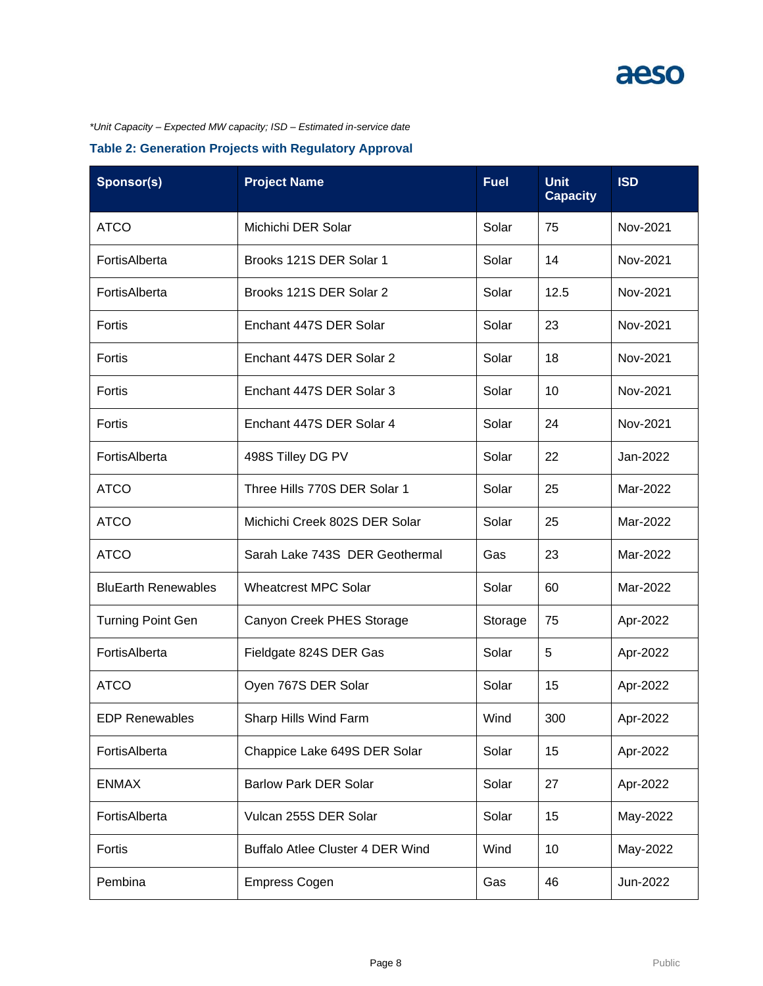

#### *\*Unit Capacity – Expected MW capacity; ISD – Estimated in-service date*

### **Table 2: Generation Projects with Regulatory Approval**

| Sponsor(s)                 | <b>Project Name</b>              | <b>Fuel</b> | <b>Unit</b><br><b>Capacity</b> | <b>ISD</b> |
|----------------------------|----------------------------------|-------------|--------------------------------|------------|
| <b>ATCO</b>                | Michichi DER Solar               | Solar       | 75                             | Nov-2021   |
| FortisAlberta              | Brooks 121S DER Solar 1          | Solar       | 14                             | Nov-2021   |
| FortisAlberta              | Brooks 121S DER Solar 2          | Solar       | 12.5                           | Nov-2021   |
| Fortis                     | Enchant 447S DER Solar           | Solar       | 23                             | Nov-2021   |
| Fortis                     | Enchant 447S DER Solar 2         | Solar       | 18                             | Nov-2021   |
| Fortis                     | Enchant 447S DER Solar 3         | Solar       | 10                             | Nov-2021   |
| Fortis                     | Enchant 447S DER Solar 4         | Solar       | 24                             | Nov-2021   |
| FortisAlberta              | 498S Tilley DG PV                | Solar       | 22                             | Jan-2022   |
| <b>ATCO</b>                | Three Hills 770S DER Solar 1     | Solar       | 25                             | Mar-2022   |
| <b>ATCO</b>                | Michichi Creek 802S DER Solar    | Solar       | 25                             | Mar-2022   |
| <b>ATCO</b>                | Sarah Lake 743S DER Geothermal   | Gas         | 23                             | Mar-2022   |
| <b>BluEarth Renewables</b> | <b>Wheatcrest MPC Solar</b>      | Solar       | 60                             | Mar-2022   |
| <b>Turning Point Gen</b>   | Canyon Creek PHES Storage        | Storage     | 75                             | Apr-2022   |
| FortisAlberta              | Fieldgate 824S DER Gas           | Solar       | 5                              | Apr-2022   |
| <b>ATCO</b>                | Oyen 767S DER Solar              | Solar       | 15                             | Apr-2022   |
| <b>EDP Renewables</b>      | Sharp Hills Wind Farm            | Wind        | 300                            | Apr-2022   |
| FortisAlberta              | Chappice Lake 649S DER Solar     | Solar       | 15                             | Apr-2022   |
| <b>ENMAX</b>               | <b>Barlow Park DER Solar</b>     | Solar       | 27                             | Apr-2022   |
| FortisAlberta              | Vulcan 255S DER Solar            | Solar       | 15                             | May-2022   |
| Fortis                     | Buffalo Atlee Cluster 4 DER Wind | Wind        | 10                             | May-2022   |
| Pembina                    | <b>Empress Cogen</b>             | Gas         | 46                             | Jun-2022   |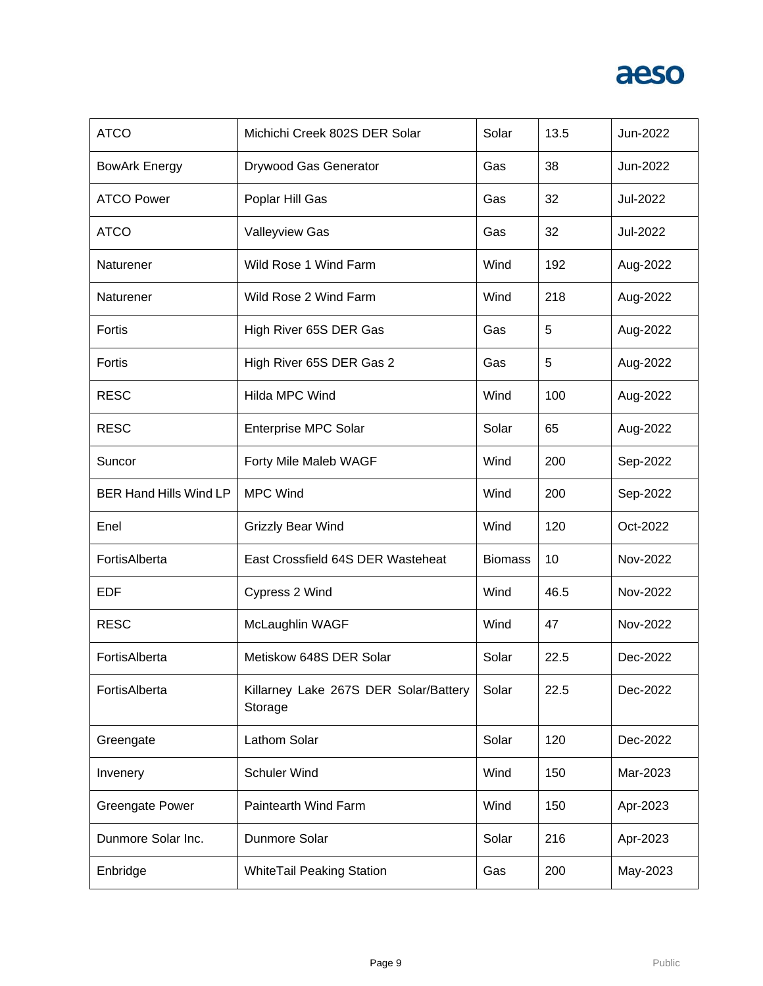| <b>ATCO</b>                   | Michichi Creek 802S DER Solar                    | Solar          | 13.5 | Jun-2022 |
|-------------------------------|--------------------------------------------------|----------------|------|----------|
| <b>BowArk Energy</b>          | Drywood Gas Generator                            | Gas            | 38   | Jun-2022 |
| <b>ATCO Power</b>             | Poplar Hill Gas                                  | Gas            | 32   | Jul-2022 |
| <b>ATCO</b>                   | <b>Valleyview Gas</b>                            | Gas            | 32   | Jul-2022 |
| Naturener                     | Wild Rose 1 Wind Farm                            | Wind           | 192  | Aug-2022 |
| Naturener                     | Wild Rose 2 Wind Farm                            | Wind           | 218  | Aug-2022 |
| Fortis                        | High River 65S DER Gas                           | Gas            | 5    | Aug-2022 |
| Fortis                        | High River 65S DER Gas 2                         | Gas            | 5    | Aug-2022 |
| <b>RESC</b>                   | Hilda MPC Wind                                   | Wind           | 100  | Aug-2022 |
| <b>RESC</b>                   | <b>Enterprise MPC Solar</b>                      | Solar          | 65   | Aug-2022 |
| Suncor                        | Forty Mile Maleb WAGF                            | Wind           | 200  | Sep-2022 |
| <b>BER Hand Hills Wind LP</b> | <b>MPC Wind</b>                                  | Wind           | 200  | Sep-2022 |
| Enel                          | Grizzly Bear Wind                                | Wind           | 120  | Oct-2022 |
| FortisAlberta                 | East Crossfield 64S DER Wasteheat                | <b>Biomass</b> | 10   | Nov-2022 |
| <b>EDF</b>                    | Cypress 2 Wind                                   | Wind           | 46.5 | Nov-2022 |
| <b>RESC</b>                   | McLaughlin WAGF                                  | Wind           | 47   | Nov-2022 |
| FortisAlberta                 | Metiskow 648S DER Solar                          | Solar          | 22.5 | Dec-2022 |
| FortisAlberta                 | Killarney Lake 267S DER Solar/Battery<br>Storage | Solar          | 22.5 | Dec-2022 |
| Greengate                     | Lathom Solar                                     | Solar          | 120  | Dec-2022 |
| Invenery                      | <b>Schuler Wind</b>                              | Wind           | 150  | Mar-2023 |
| <b>Greengate Power</b>        | Paintearth Wind Farm                             | Wind           | 150  | Apr-2023 |
| Dunmore Solar Inc.            | Dunmore Solar                                    | Solar          | 216  | Apr-2023 |
| Enbridge                      | <b>WhiteTail Peaking Station</b>                 | Gas            | 200  | May-2023 |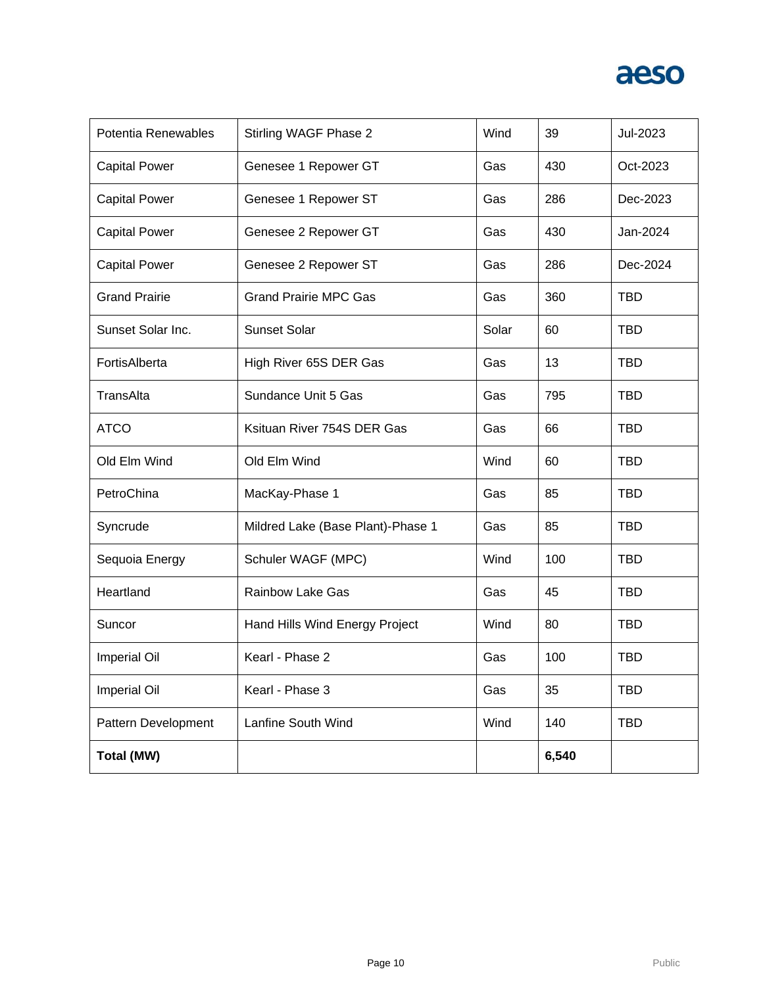| Potentia Renewables  | Stirling WAGF Phase 2             | Wind  | 39    | Jul-2023   |
|----------------------|-----------------------------------|-------|-------|------------|
| <b>Capital Power</b> | Genesee 1 Repower GT              | Gas   | 430   | Oct-2023   |
| <b>Capital Power</b> | Genesee 1 Repower ST              | Gas   | 286   | Dec-2023   |
| <b>Capital Power</b> | Genesee 2 Repower GT              | Gas   | 430   | Jan-2024   |
| <b>Capital Power</b> | Genesee 2 Repower ST              | Gas   | 286   | Dec-2024   |
| <b>Grand Prairie</b> | <b>Grand Prairie MPC Gas</b>      | Gas   | 360   | <b>TBD</b> |
| Sunset Solar Inc.    | <b>Sunset Solar</b>               | Solar | 60    | <b>TBD</b> |
| FortisAlberta        | High River 65S DER Gas            | Gas   | 13    | <b>TBD</b> |
| TransAlta            | Sundance Unit 5 Gas               | Gas   | 795   | <b>TBD</b> |
| <b>ATCO</b>          | Ksituan River 754S DER Gas        | Gas   | 66    | <b>TBD</b> |
| Old Elm Wind         | Old Elm Wind                      | Wind  | 60    | <b>TBD</b> |
| PetroChina           | MacKay-Phase 1                    | Gas   | 85    | <b>TBD</b> |
| Syncrude             | Mildred Lake (Base Plant)-Phase 1 | Gas   | 85    | <b>TBD</b> |
| Sequoia Energy       | Schuler WAGF (MPC)                | Wind  | 100   | <b>TBD</b> |
| Heartland            | <b>Rainbow Lake Gas</b>           | Gas   | 45    | <b>TBD</b> |
| Suncor               | Hand Hills Wind Energy Project    | Wind  | 80    | <b>TBD</b> |
| <b>Imperial Oil</b>  | Kearl - Phase 2                   | Gas   | 100   | <b>TBD</b> |
| <b>Imperial Oil</b>  | Kearl - Phase 3                   | Gas   | 35    | <b>TBD</b> |
| Pattern Development  | Lanfine South Wind                | Wind  | 140   | <b>TBD</b> |
| <b>Total (MW)</b>    |                                   |       | 6,540 |            |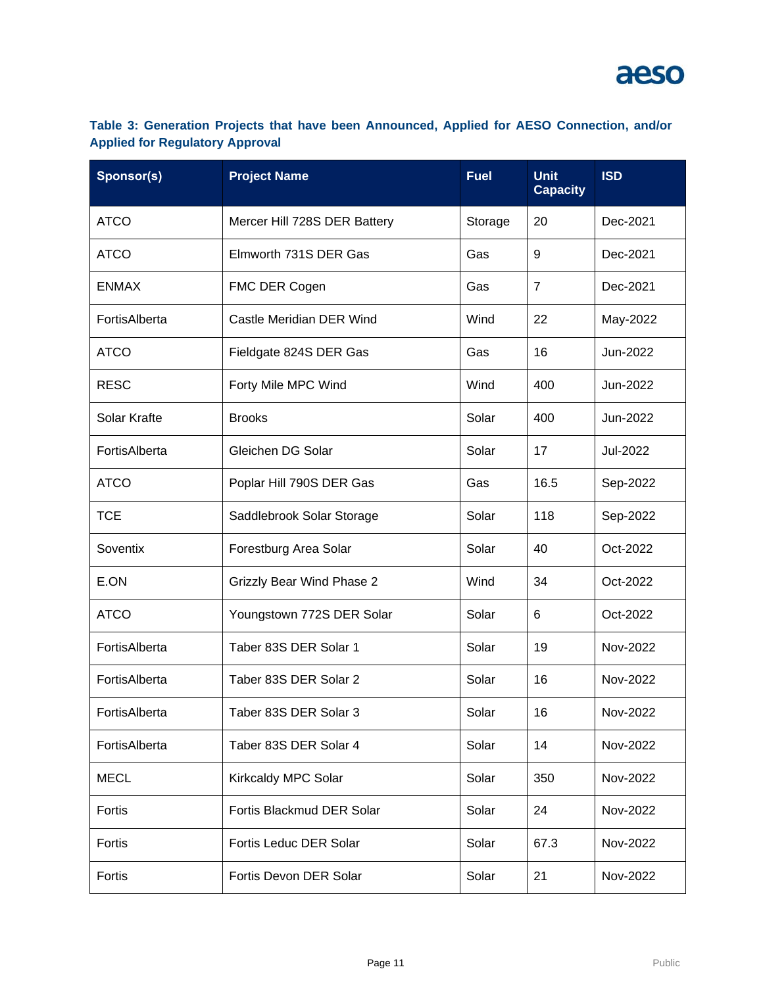### **Table 3: Generation Projects that have been Announced, Applied for AESO Connection, and/or Applied for Regulatory Approval**

| Sponsor(s)    | <b>Project Name</b>              | <b>Fuel</b> | <b>Unit</b><br><b>Capacity</b> | <b>ISD</b> |
|---------------|----------------------------------|-------------|--------------------------------|------------|
| <b>ATCO</b>   | Mercer Hill 728S DER Battery     | Storage     | 20                             | Dec-2021   |
| <b>ATCO</b>   | Elmworth 731S DER Gas            | Gas         | 9                              | Dec-2021   |
| <b>ENMAX</b>  | FMC DER Cogen                    | Gas         | $\overline{7}$                 | Dec-2021   |
| FortisAlberta | Castle Meridian DER Wind         | Wind        | 22                             | May-2022   |
| <b>ATCO</b>   | Fieldgate 824S DER Gas           | Gas         | 16                             | Jun-2022   |
| <b>RESC</b>   | Forty Mile MPC Wind              | Wind        | 400                            | Jun-2022   |
| Solar Krafte  | <b>Brooks</b>                    | Solar       | 400                            | Jun-2022   |
| FortisAlberta | Gleichen DG Solar                | Solar       | 17                             | Jul-2022   |
| <b>ATCO</b>   | Poplar Hill 790S DER Gas         | Gas         | 16.5                           | Sep-2022   |
| <b>TCE</b>    | Saddlebrook Solar Storage        | Solar       | 118                            | Sep-2022   |
| Soventix      | Forestburg Area Solar            | Solar       | 40                             | Oct-2022   |
| E.ON          | <b>Grizzly Bear Wind Phase 2</b> | Wind        | 34                             | Oct-2022   |
| <b>ATCO</b>   | Youngstown 772S DER Solar        | Solar       | 6                              | Oct-2022   |
| FortisAlberta | Taber 83S DER Solar 1            | Solar       | 19                             | Nov-2022   |
| FortisAlberta | Taber 83S DER Solar 2            | Solar       | 16                             | Nov-2022   |
| FortisAlberta | Taber 83S DER Solar 3            | Solar       | 16                             | Nov-2022   |
| FortisAlberta | Taber 83S DER Solar 4            | Solar       | 14                             | Nov-2022   |
| <b>MECL</b>   | Kirkcaldy MPC Solar              | Solar       | 350                            | Nov-2022   |
| Fortis        | Fortis Blackmud DER Solar        | Solar       | 24                             | Nov-2022   |
| Fortis        | <b>Fortis Leduc DER Solar</b>    | Solar       | 67.3                           | Nov-2022   |
| Fortis        | Fortis Devon DER Solar           | Solar       | 21                             | Nov-2022   |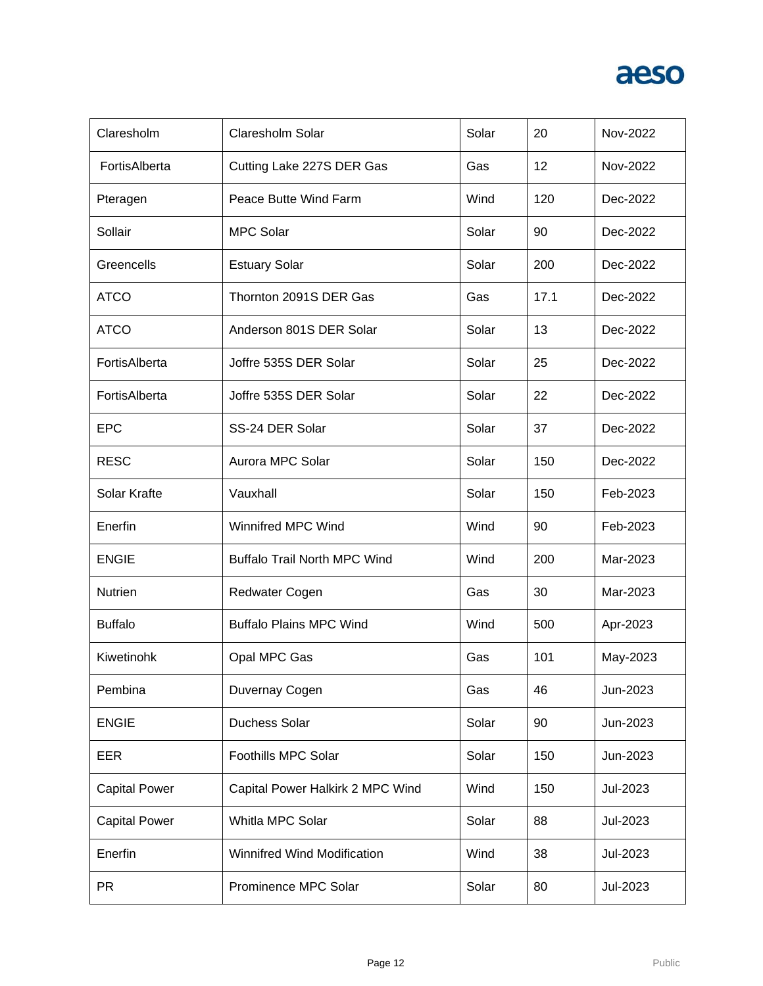

| Claresholm           | <b>Claresholm Solar</b>             | Solar | 20   | Nov-2022 |
|----------------------|-------------------------------------|-------|------|----------|
| FortisAlberta        | Cutting Lake 227S DER Gas           | Gas   | 12   | Nov-2022 |
| Pteragen             | Peace Butte Wind Farm               | Wind  | 120  | Dec-2022 |
| Sollair              | <b>MPC Solar</b>                    | Solar | 90   | Dec-2022 |
| Greencells           | <b>Estuary Solar</b>                | Solar | 200  | Dec-2022 |
| <b>ATCO</b>          | Thornton 2091S DER Gas              | Gas   | 17.1 | Dec-2022 |
| <b>ATCO</b>          | Anderson 801S DER Solar             | Solar | 13   | Dec-2022 |
| FortisAlberta        | Joffre 535S DER Solar               | Solar | 25   | Dec-2022 |
| FortisAlberta        | Joffre 535S DER Solar               | Solar | 22   | Dec-2022 |
| <b>EPC</b>           | SS-24 DER Solar                     | Solar | 37   | Dec-2022 |
| <b>RESC</b>          | Aurora MPC Solar                    | Solar | 150  | Dec-2022 |
| Solar Krafte         | Vauxhall                            | Solar | 150  | Feb-2023 |
| Enerfin              | Winnifred MPC Wind                  | Wind  | 90   | Feb-2023 |
| <b>ENGIE</b>         | <b>Buffalo Trail North MPC Wind</b> | Wind  | 200  | Mar-2023 |
| Nutrien              | <b>Redwater Cogen</b>               | Gas   | 30   | Mar-2023 |
| <b>Buffalo</b>       | <b>Buffalo Plains MPC Wind</b>      | Wind  | 500  | Apr-2023 |
| Kiwetinohk           | Opal MPC Gas                        | Gas   | 101  | May-2023 |
| Pembina              | Duvernay Cogen                      | Gas   | 46   | Jun-2023 |
| <b>ENGIE</b>         | <b>Duchess Solar</b>                | Solar | 90   | Jun-2023 |
| EER                  | Foothills MPC Solar                 | Solar | 150  | Jun-2023 |
| <b>Capital Power</b> | Capital Power Halkirk 2 MPC Wind    | Wind  | 150  | Jul-2023 |
| <b>Capital Power</b> | Whitla MPC Solar                    | Solar | 88   | Jul-2023 |
| Enerfin              | <b>Winnifred Wind Modification</b>  | Wind  | 38   | Jul-2023 |
| <b>PR</b>            | Prominence MPC Solar                | Solar | 80   | Jul-2023 |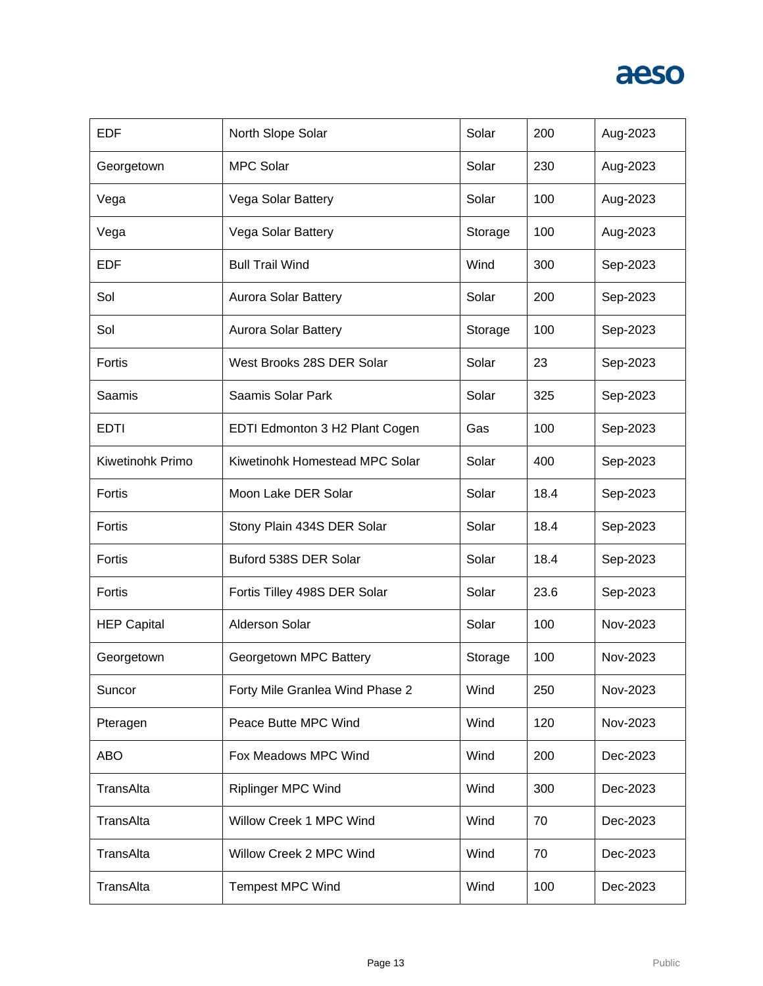

| <b>EDF</b>         | North Slope Solar               | Solar   | 200  | Aug-2023 |
|--------------------|---------------------------------|---------|------|----------|
| Georgetown         | <b>MPC Solar</b>                | Solar   | 230  | Aug-2023 |
| Vega               | Vega Solar Battery              | Solar   | 100  | Aug-2023 |
| Vega               | Vega Solar Battery              | Storage | 100  | Aug-2023 |
| <b>EDF</b>         | <b>Bull Trail Wind</b>          | Wind    | 300  | Sep-2023 |
| Sol                | Aurora Solar Battery            | Solar   | 200  | Sep-2023 |
| Sol                | Aurora Solar Battery            | Storage | 100  | Sep-2023 |
| Fortis             | West Brooks 28S DER Solar       | Solar   | 23   | Sep-2023 |
| Saamis             | Saamis Solar Park               | Solar   | 325  | Sep-2023 |
| <b>EDTI</b>        | EDTI Edmonton 3 H2 Plant Cogen  | Gas     | 100  | Sep-2023 |
| Kiwetinohk Primo   | Kiwetinohk Homestead MPC Solar  | Solar   | 400  | Sep-2023 |
| Fortis             | Moon Lake DER Solar             | Solar   | 18.4 | Sep-2023 |
| Fortis             | Stony Plain 434S DER Solar      | Solar   | 18.4 | Sep-2023 |
| Fortis             | Buford 538S DER Solar           | Solar   | 18.4 | Sep-2023 |
| Fortis             | Fortis Tilley 498S DER Solar    | Solar   | 23.6 | Sep-2023 |
| <b>HEP Capital</b> | <b>Alderson Solar</b>           | Solar   | 100  | Nov-2023 |
| Georgetown         | Georgetown MPC Battery          | Storage | 100  | Nov-2023 |
| Suncor             | Forty Mile Granlea Wind Phase 2 | Wind    | 250  | Nov-2023 |
| Pteragen           | Peace Butte MPC Wind            | Wind    | 120  | Nov-2023 |
| <b>ABO</b>         | Fox Meadows MPC Wind            | Wind    | 200  | Dec-2023 |
| TransAlta          | <b>Riplinger MPC Wind</b>       | Wind    | 300  | Dec-2023 |
| TransAlta          | Willow Creek 1 MPC Wind         | Wind    | 70   | Dec-2023 |
| TransAlta          | Willow Creek 2 MPC Wind         | Wind    | 70   | Dec-2023 |
| TransAlta          | <b>Tempest MPC Wind</b>         | Wind    | 100  | Dec-2023 |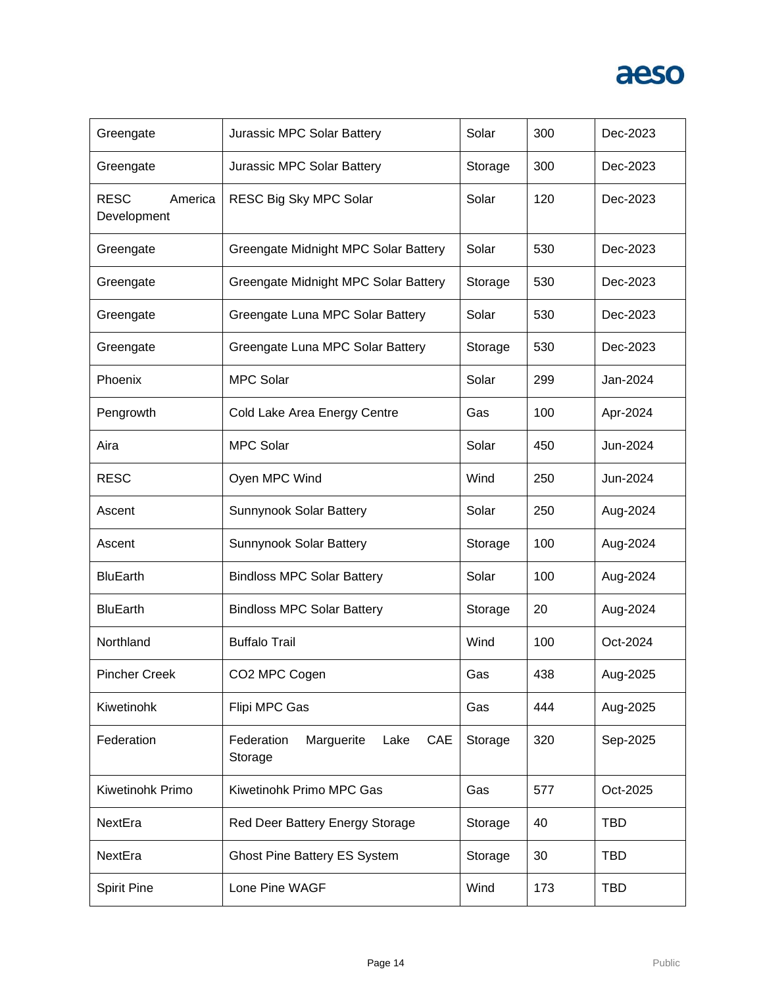

| Greengate                             | Jurassic MPC Solar Battery                         | Solar   | 300 | Dec-2023   |
|---------------------------------------|----------------------------------------------------|---------|-----|------------|
| Greengate                             | Jurassic MPC Solar Battery                         | Storage | 300 | Dec-2023   |
| <b>RESC</b><br>America<br>Development | RESC Big Sky MPC Solar                             | Solar   | 120 | Dec-2023   |
| Greengate                             | Greengate Midnight MPC Solar Battery               | Solar   | 530 | Dec-2023   |
| Greengate                             | Greengate Midnight MPC Solar Battery               | Storage | 530 | Dec-2023   |
| Greengate                             | Greengate Luna MPC Solar Battery                   | Solar   | 530 | Dec-2023   |
| Greengate                             | Greengate Luna MPC Solar Battery                   | Storage | 530 | Dec-2023   |
| Phoenix                               | <b>MPC Solar</b>                                   | Solar   | 299 | Jan-2024   |
| Pengrowth                             | Cold Lake Area Energy Centre                       | Gas     | 100 | Apr-2024   |
| Aira                                  | <b>MPC Solar</b>                                   | Solar   | 450 | Jun-2024   |
| <b>RESC</b>                           | Oyen MPC Wind                                      | Wind    | 250 | Jun-2024   |
| Ascent                                | Sunnynook Solar Battery                            | Solar   | 250 | Aug-2024   |
| Ascent                                | Sunnynook Solar Battery                            | Storage | 100 | Aug-2024   |
| <b>BluEarth</b>                       | <b>Bindloss MPC Solar Battery</b>                  | Solar   | 100 | Aug-2024   |
| <b>BluEarth</b>                       | <b>Bindloss MPC Solar Battery</b>                  | Storage | 20  | Aug-2024   |
| Northland                             | <b>Buffalo Trail</b>                               | Wind    | 100 | Oct-2024   |
| <b>Pincher Creek</b>                  | CO2 MPC Cogen                                      | Gas     | 438 | Aug-2025   |
| Kiwetinohk                            | Flipi MPC Gas                                      | Gas     | 444 | Aug-2025   |
| Federation                            | CAE<br>Lake<br>Federation<br>Marguerite<br>Storage | Storage | 320 | Sep-2025   |
| Kiwetinohk Primo                      | Kiwetinohk Primo MPC Gas                           | Gas     | 577 | Oct-2025   |
| NextEra                               | Red Deer Battery Energy Storage                    | Storage | 40  | <b>TBD</b> |
| NextEra                               | <b>Ghost Pine Battery ES System</b>                | Storage | 30  | <b>TBD</b> |
| <b>Spirit Pine</b>                    | Lone Pine WAGF                                     | Wind    | 173 | <b>TBD</b> |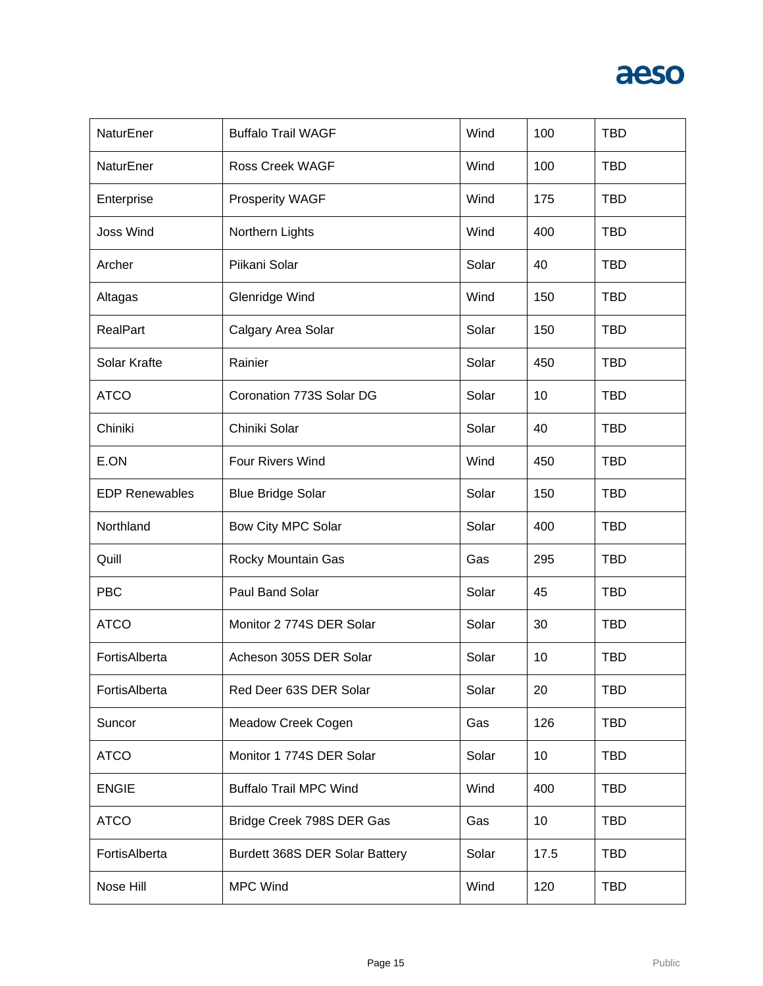

| NaturEner             | <b>Buffalo Trail WAGF</b>      | Wind  | 100  | <b>TBD</b> |
|-----------------------|--------------------------------|-------|------|------------|
| NaturEner             | <b>Ross Creek WAGF</b>         | Wind  | 100  | <b>TBD</b> |
| Enterprise            | <b>Prosperity WAGF</b>         | Wind  | 175  | <b>TBD</b> |
| <b>Joss Wind</b>      | Northern Lights                | Wind  | 400  | <b>TBD</b> |
| Archer                | Piikani Solar                  | Solar | 40   | <b>TBD</b> |
| Altagas               | Glenridge Wind                 | Wind  | 150  | <b>TBD</b> |
| <b>RealPart</b>       | Calgary Area Solar             | Solar | 150  | <b>TBD</b> |
| Solar Krafte          | Rainier                        | Solar | 450  | <b>TBD</b> |
| <b>ATCO</b>           | Coronation 773S Solar DG       | Solar | 10   | <b>TBD</b> |
| Chiniki               | Chiniki Solar                  | Solar | 40   | <b>TBD</b> |
| E.ON                  | <b>Four Rivers Wind</b>        | Wind  | 450  | <b>TBD</b> |
| <b>EDP Renewables</b> | <b>Blue Bridge Solar</b>       | Solar | 150  | <b>TBD</b> |
| Northland             | Bow City MPC Solar             | Solar | 400  | <b>TBD</b> |
| Quill                 | Rocky Mountain Gas             | Gas   | 295  | <b>TBD</b> |
| <b>PBC</b>            | Paul Band Solar                | Solar | 45   | <b>TBD</b> |
| <b>ATCO</b>           | Monitor 2 774S DER Solar       | Solar | 30   | <b>TBD</b> |
| FortisAlberta         | Acheson 305S DER Solar         | Solar | 10   | <b>TBD</b> |
| FortisAlberta         | Red Deer 63S DER Solar         | Solar | 20   | <b>TBD</b> |
| Suncor                | Meadow Creek Cogen             | Gas   | 126  | <b>TBD</b> |
| <b>ATCO</b>           | Monitor 1 774S DER Solar       | Solar | 10   | <b>TBD</b> |
| <b>ENGIE</b>          | <b>Buffalo Trail MPC Wind</b>  | Wind  | 400  | <b>TBD</b> |
| <b>ATCO</b>           | Bridge Creek 798S DER Gas      | Gas   | 10   | <b>TBD</b> |
| FortisAlberta         | Burdett 368S DER Solar Battery | Solar | 17.5 | <b>TBD</b> |
| Nose Hill             | <b>MPC Wind</b>                | Wind  | 120  | <b>TBD</b> |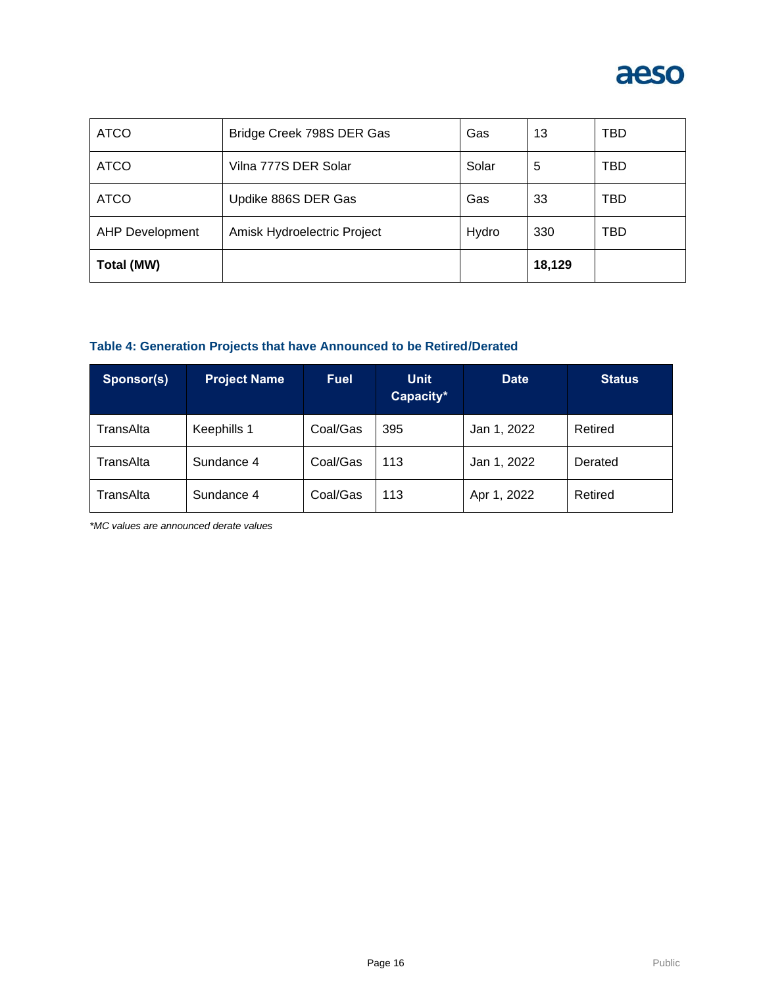

| <b>ATCO</b>            | Bridge Creek 798S DER Gas   | Gas   | 13     | TBD |
|------------------------|-----------------------------|-------|--------|-----|
| <b>ATCO</b>            | Vilna 777S DER Solar        | Solar | 5      | TBD |
| <b>ATCO</b>            | Updike 886S DER Gas         | Gas   | 33     | TBD |
| <b>AHP Development</b> | Amisk Hydroelectric Project | Hydro | 330    | TBD |
| Total (MW)             |                             |       | 18,129 |     |

### **Table 4: Generation Projects that have Announced to be Retired/Derated**

| Sponsor(s) | <b>Project Name</b> | <b>Fuel</b> | <b>Unit</b><br>Capacity* | <b>Date</b> | <b>Status</b> |
|------------|---------------------|-------------|--------------------------|-------------|---------------|
| TransAlta  | Keephills 1         | Coal/Gas    | 395                      | Jan 1, 2022 | Retired       |
| TransAlta  | Sundance 4          | Coal/Gas    | 113                      | Jan 1, 2022 | Derated       |
| TransAlta  | Sundance 4          | Coal/Gas    | 113                      | Apr 1, 2022 | Retired       |

*\*MC values are announced derate values*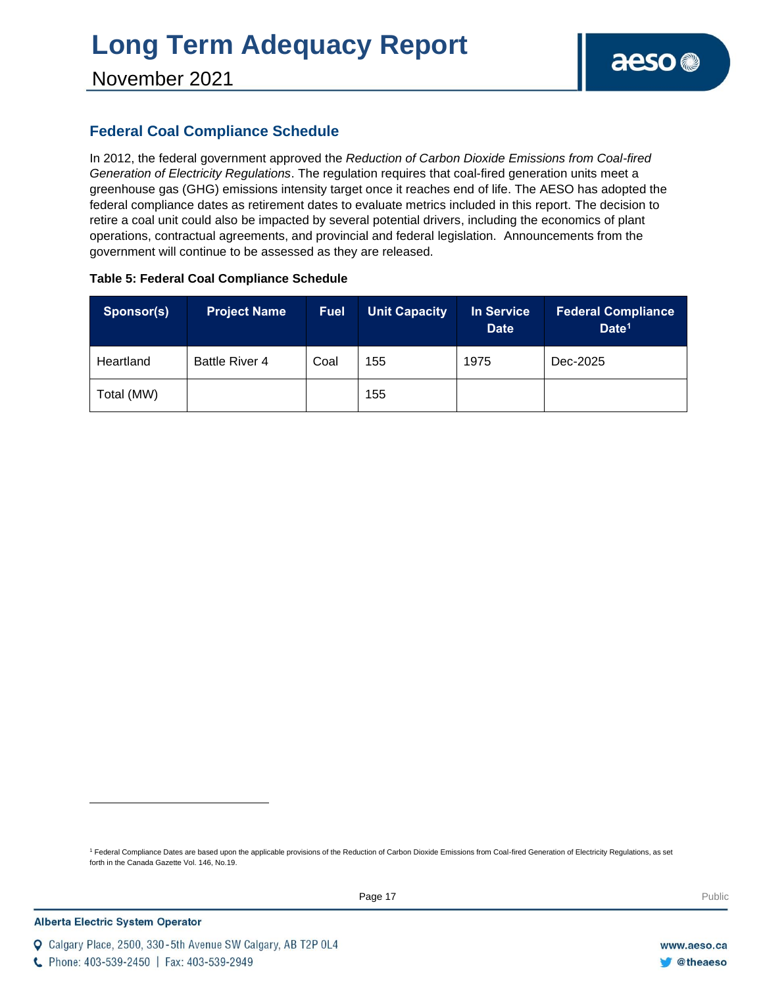### **Federal Coal Compliance Schedule**

In 2012, the federal government approved the *Reduction of Carbon Dioxide Emissions from Coal-fired Generation of Electricity Regulations*. The regulation requires that coal-fired generation units meet a greenhouse gas (GHG) emissions intensity target once it reaches end of life. The AESO has adopted the federal compliance dates as retirement dates to evaluate metrics included in this report. The decision to retire a coal unit could also be impacted by several potential drivers, including the economics of plant operations, contractual agreements, and provincial and federal legislation. Announcements from the government will continue to be assessed as they are released.

| Sponsor(s) | <b>Project Name</b> | <b>Fuel</b> | <b>Unit Capacity</b> | In Service<br><b>Date</b> | <b>Federal Compliance</b><br>Date <sup>1</sup> |
|------------|---------------------|-------------|----------------------|---------------------------|------------------------------------------------|
| Heartland  | Battle River 4      | Coal        | 155                  | 1975                      | Dec-2025                                       |
| Total (MW) |                     |             | 155                  |                           |                                                |

#### **Table 5: Federal Coal Compliance Schedule**

<sup>1</sup> Federal Compliance Dates are based upon the applicable provisions of the Reduction of Carbon Dioxide Emissions from Coal-fired Generation of Electricity Regulations, as set forth in the Canada Gazette Vol. 146, No.19.

C Phone: 403-539-2450 | Fax: 403-539-2949

Q Calgary Place, 2500, 330-5th Avenue SW Calgary, AB T2P 0L4

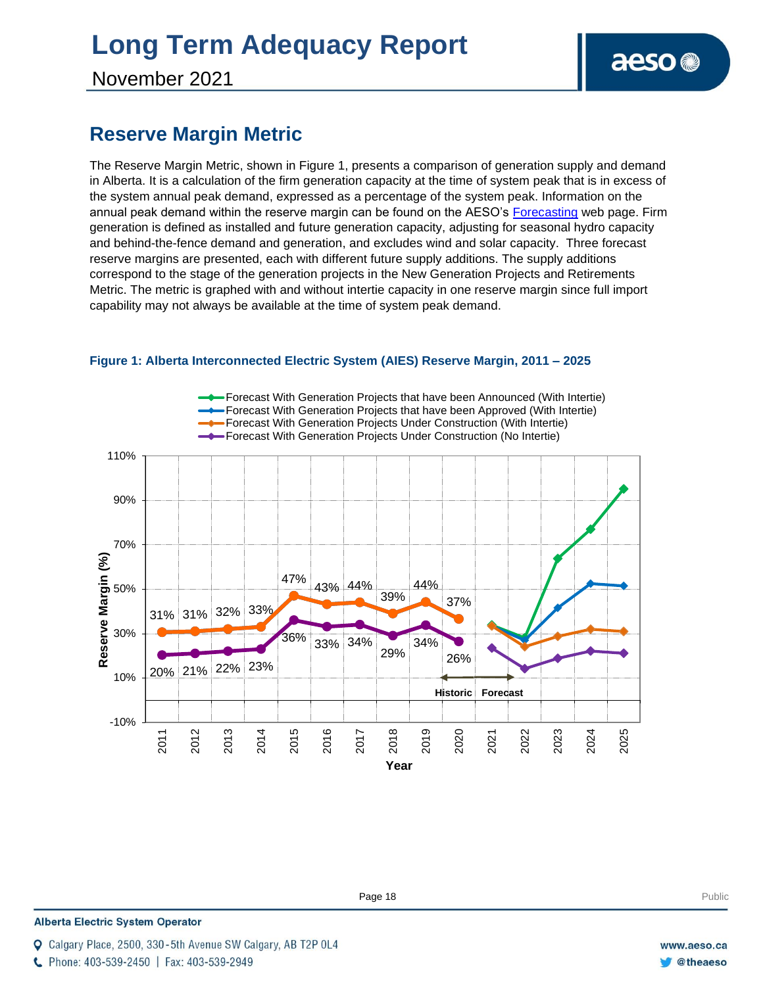November 2021

## **Reserve Margin Metric**

The Reserve Margin Metric, shown in Figure 1, presents a comparison of generation supply and demand in Alberta. It is a calculation of the firm generation capacity at the time of system peak that is in excess of the system annual peak demand, expressed as a percentage of the system peak. Information on the annual peak demand within the reserve margin can be found on the AESO's [Forecasting](https://www.aeso.ca/grid/forecasting) web page. Firm generation is defined as installed and future generation capacity, adjusting for seasonal hydro capacity and behind-the-fence demand and generation, and excludes wind and solar capacity. Three forecast reserve margins are presented, each with different future supply additions. The supply additions correspond to the stage of the generation projects in the New Generation Projects and Retirements Metric. The metric is graphed with and without intertie capacity in one reserve margin since full import capability may not always be available at the time of system peak demand.



#### **Figure 1: Alberta Interconnected Electric System (AIES) Reserve Margin, 2011 – 2025**

**Enter Football Page 18** Public Public Public Public Public Public Public Public Public Public Public Public Public Public Public Public Public Public Public Public Public Public Public Public Public Public Public Public P



C Phone: 403-539-2450 | Fax: 403-539-2949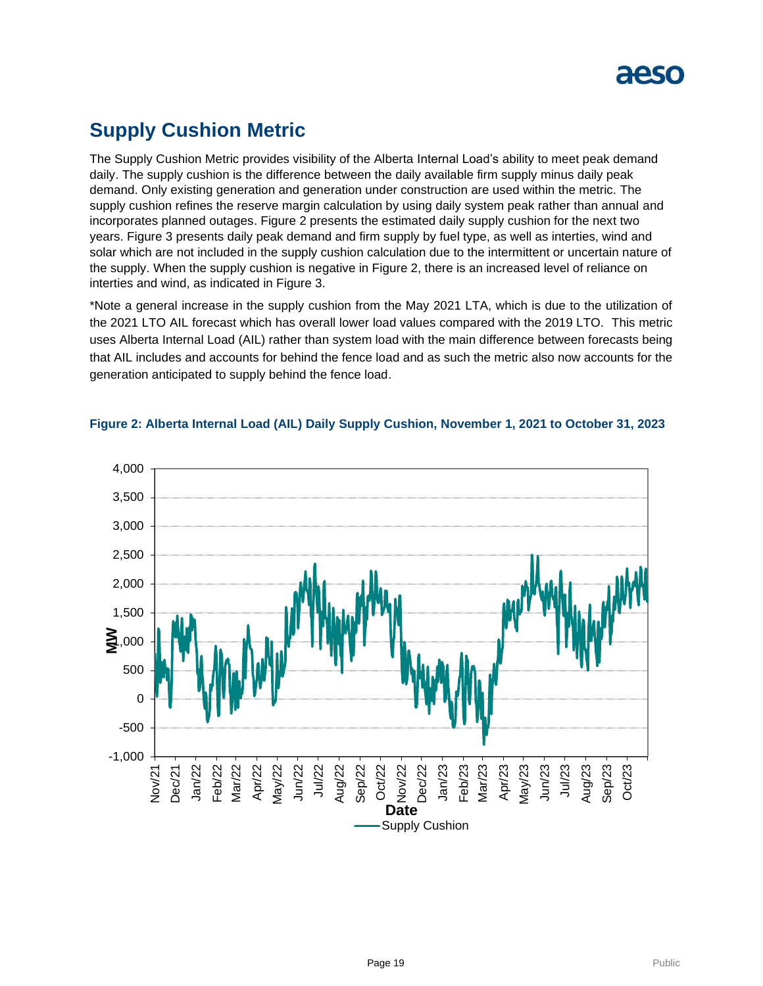## **Supply Cushion Metric**

The Supply Cushion Metric provides visibility of the Alberta Internal Load's ability to meet peak demand daily. The supply cushion is the difference between the daily available firm supply minus daily peak demand. Only existing generation and generation under construction are used within the metric. The supply cushion refines the reserve margin calculation by using daily system peak rather than annual and incorporates planned outages. Figure 2 presents the estimated daily supply cushion for the next two years. Figure 3 presents daily peak demand and firm supply by fuel type, as well as interties, wind and solar which are not included in the supply cushion calculation due to the intermittent or uncertain nature of the supply. When the supply cushion is negative in Figure 2, there is an increased level of reliance on interties and wind, as indicated in Figure 3.

\*Note a general increase in the supply cushion from the May 2021 LTA, which is due to the utilization of the 2021 LTO AIL forecast which has overall lower load values compared with the 2019 LTO. This metric uses Alberta Internal Load (AIL) rather than system load with the main difference between forecasts being that AIL includes and accounts for behind the fence load and as such the metric also now accounts for the generation anticipated to supply behind the fence load.



#### **Figure 2: Alberta Internal Load (AIL) Daily Supply Cushion, November 1, 2021 to October 31, 2023**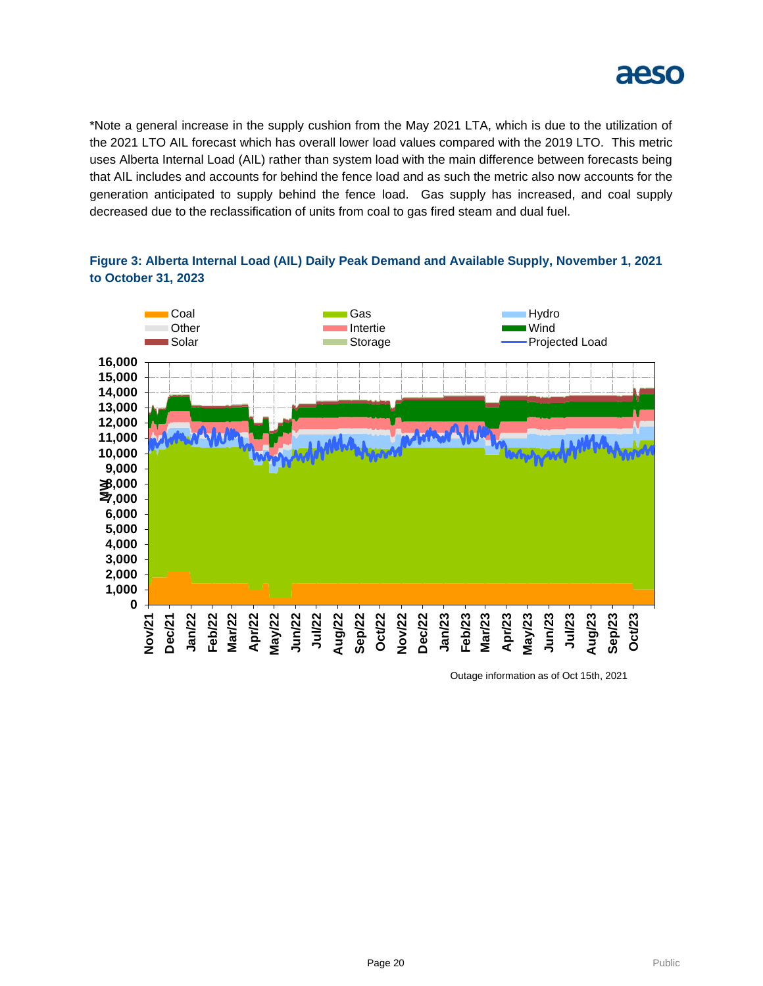

\*Note a general increase in the supply cushion from the May 2021 LTA, which is due to the utilization of the 2021 LTO AIL forecast which has overall lower load values compared with the 2019 LTO. This metric uses Alberta Internal Load (AIL) rather than system load with the main difference between forecasts being that AIL includes and accounts for behind the fence load and as such the metric also now accounts for the generation anticipated to supply behind the fence load. Gas supply has increased, and coal supply decreased due to the reclassification of units from coal to gas fired steam and dual fuel.



**Figure 3: Alberta Internal Load (AIL) Daily Peak Demand and Available Supply, November 1, 2021 to October 31, 2023**

Outage information as of Oct 15th, 2021